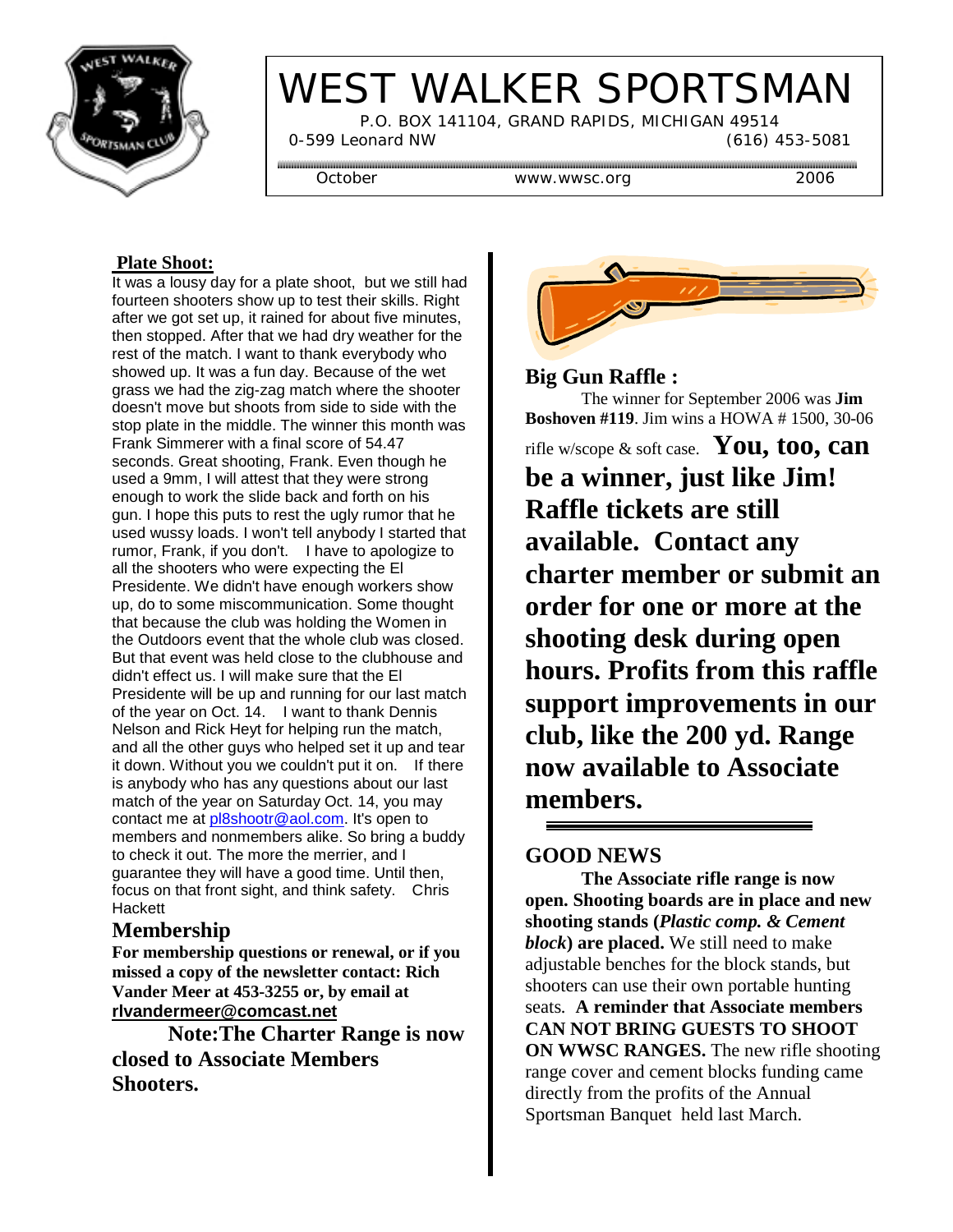

# WEST WALKER SPORTSMAN

 P.O. BOX 141104, GRAND RAPIDS, MICHIGAN 49514 0-599 Leonard NW (616) 453-5081

October www.wwsc.org 2006

#### **Plate Shoot:**

It was a lousy day for a plate shoot, but we still had fourteen shooters show up to test their skills. Right after we got set up, it rained for about five minutes, then stopped. After that we had dry weather for the rest of the match. I want to thank everybody who showed up. It was a fun day. Because of the wet grass we had the zig-zag match where the shooter doesn't move but shoots from side to side with the stop plate in the middle. The winner this month was Frank Simmerer with a final score of 54.47 seconds. Great shooting, Frank. Even though he used a 9mm, I will attest that they were strong enough to work the slide back and forth on his gun. I hope this puts to rest the ugly rumor that he used wussy loads. I won't tell anybody I started that rumor, Frank, if you don't. I have to apologize to all the shooters who were expecting the El Presidente. We didn't have enough workers show up, do to some miscommunication. Some thought that because the club was holding the Women in the Outdoors event that the whole club was closed. But that event was held close to the clubhouse and didn't effect us. I will make sure that the El Presidente will be up and running for our last match of the year on Oct. 14. I want to thank Dennis Nelson and Rick Heyt for helping run the match, and all the other guys who helped set it up and tear it down. Without you we couldn't put it on. If there is anybody who has any questions about our last match of the year on Saturday Oct. 14, you may contact me at pl8shootr@aol.com. It's open to members and nonmembers alike. So bring a buddy to check it out. The more the merrier, and I guarantee they will have a good time. Until then, focus on that front sight, and think safety. Chris **Hackett** 

### **Membership**

**For membership questions or renewal, or if you missed a copy of the newsletter contact: Rich Vander Meer at 453-3255 or, by email at rlvandermeer@comcast.net**

**Note:The Charter Range is now closed to Associate Members Shooters.**



#### **Big Gun Raffle :**

The winner for September 2006 was **Jim Boshoven #119**. Jim wins a HOWA # 1500, 30-06

rifle w/scope & soft case. **You, too, can be a winner, just like Jim! Raffle tickets are still available. Contact any charter member or submit an order for one or more at the shooting desk during open hours. Profits from this raffle support improvements in our club, like the 200 yd. Range now available to Associate members.**

### **GOOD NEWS**

**The Associate rifle range is now open. Shooting boards are in place and new shooting stands (***Plastic comp. & Cement block***) are placed.** We still need to make adjustable benches for the block stands, but shooters can use their own portable hunting seats*.* **A reminder that Associate members CAN NOT BRING GUESTS TO SHOOT ON WWSC RANGES.** The new rifle shooting range cover and cement blocks funding came directly from the profits of the Annual Sportsman Banquet held last March.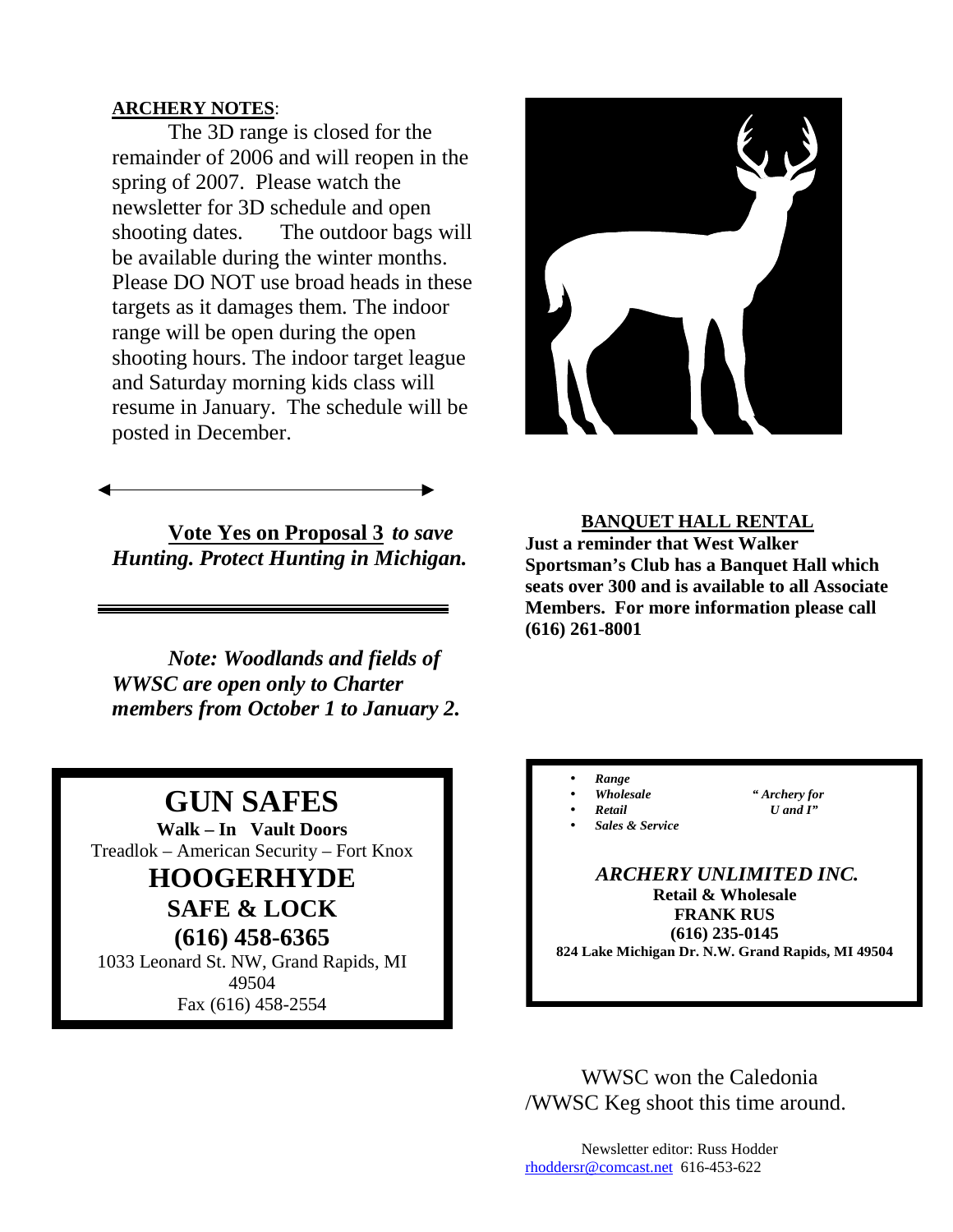#### **ARCHERY NOTES**:

The 3D range is closed for the remainder of 2006 and will reopen in the spring of 2007. Please watch the newsletter for 3D schedule and open shooting dates. The outdoor bags will be available during the winter months. Please DO NOT use broad heads in these targets as it damages them. The indoor range will be open during the open shooting hours. The indoor target league and Saturday morning kids class will resume in January. The schedule will be posted in December.

**Vote Yes on Proposal 3** *to save Hunting. Protect Hunting in Michigan.*

*Note: Woodlands and fields of WWSC are open only to Charter members from October 1 to January 2.*

## **GUN SAFES**

**Walk – In Vault Doors** Treadlok – American Security – Fort Knox **HOOGERHYDE**

**SAFE & LOCK (616) 458-6365**

1033 Leonard St. NW, Grand Rapids, MI 49504 Fax (616) 458-2554



**BANQUET HALL RENTAL Just a reminder that West Walker Sportsman's Club has a Banquet Hall which seats over 300 and is available to all Associate Members. For more information please call (616) 261-8001**

• *Range* 

• *Wholesale " Archery for*  • *Retail U and I"* 

• *Sales & Service*

 *ARCHERY UNLIMITED INC.*  **Retail & Wholesale FRANK RUS (616) 235-0145 824 Lake Michigan Dr. N.W. Grand Rapids, MI 49504** 

WWSC won the Caledonia /WWSC Keg shoot this time around.

Newsletter editor: Russ Hodder rhoddersr@comcast.net 616-453-622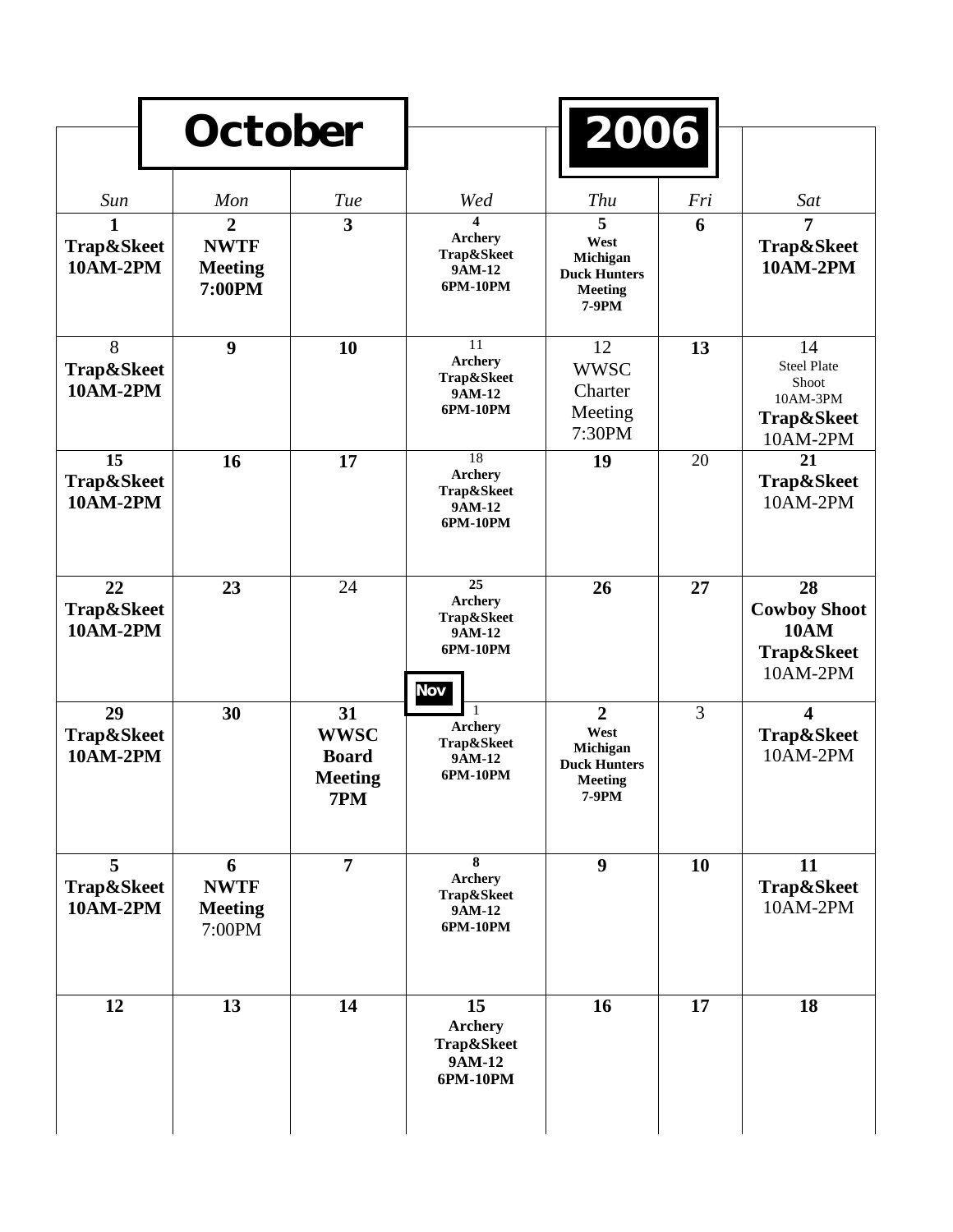|                                     | <b>October</b>                                            |                                                            |                                                                              | 2006                                                                                 |     |                                                                         |
|-------------------------------------|-----------------------------------------------------------|------------------------------------------------------------|------------------------------------------------------------------------------|--------------------------------------------------------------------------------------|-----|-------------------------------------------------------------------------|
| Sun                                 | Mon                                                       | Tue                                                        | Wed                                                                          | <b>Thu</b>                                                                           | Fri | Sat                                                                     |
| 1<br>Trap&Skeet<br><b>10AM-2PM</b>  | $\overline{2}$<br><b>NWTF</b><br><b>Meeting</b><br>7:00PM | $\overline{\mathbf{3}}$                                    | 4<br><b>Archery</b><br>Trap&Skeet<br>9AM-12<br>6PM-10PM                      | 5<br>West<br>Michigan<br><b>Duck Hunters</b><br><b>Meeting</b><br>7-9PM              | 6   | 7<br>Trap&Skeet<br><b>10AM-2PM</b>                                      |
| 8<br>Trap&Skeet<br><b>10AM-2PM</b>  | 9                                                         | 10                                                         | 11<br><b>Archery</b><br>Trap&Skeet<br>9AM-12<br>6PM-10PM                     | 12<br><b>WWSC</b><br>Charter<br>Meeting<br>7:30PM                                    | 13  | 14<br><b>Steel Plate</b><br>Shoot<br>10AM-3PM<br>Trap&Skeet<br>10AM-2PM |
| 15<br>Trap&Skeet<br><b>10AM-2PM</b> | 16                                                        | 17                                                         | 18<br><b>Archery</b><br>Trap&Skeet<br>9AM-12<br>6PM-10PM                     | 19                                                                                   | 20  | 21<br>Trap&Skeet<br>10AM-2PM                                            |
| 22<br>Trap&Skeet<br><b>10AM-2PM</b> | 23                                                        | 24                                                         | $\overline{25}$<br>Archery<br>Trap&Skeet<br>9AM-12<br>6PM-10PM<br><b>Nov</b> | 26                                                                                   | 27  | 28<br><b>Cowboy Shoot</b><br><b>10AM</b><br>Trap&Skeet<br>10AM-2PM      |
| 29<br>Trap&Skeet<br><b>10AM-2PM</b> | 30                                                        | 31<br><b>WWSC</b><br><b>Board</b><br><b>Meeting</b><br>7PM | <b>Archery</b><br>Trap&Skeet<br>9AM-12<br>6PM-10PM                           | $\overline{2}$<br>West<br>Michigan<br><b>Duck Hunters</b><br><b>Meeting</b><br>7-9PM | 3   | $\overline{\mathbf{4}}$<br>Trap&Skeet<br>10AM-2PM                       |
| 5<br>Trap&Skeet<br>10AM-2PM         | 6<br><b>NWTF</b><br><b>Meeting</b><br>7:00PM              | $\overline{7}$                                             | 8<br><b>Archery</b><br>Trap&Skeet<br>9AM-12<br>6PM-10PM                      | 9                                                                                    | 10  | 11<br>Trap&Skeet<br>10AM-2PM                                            |
| 12                                  | 13                                                        | 14                                                         | 15<br><b>Archery</b><br>Trap&Skeet<br>9AM-12<br>6PM-10PM                     | 16                                                                                   | 17  | 18                                                                      |